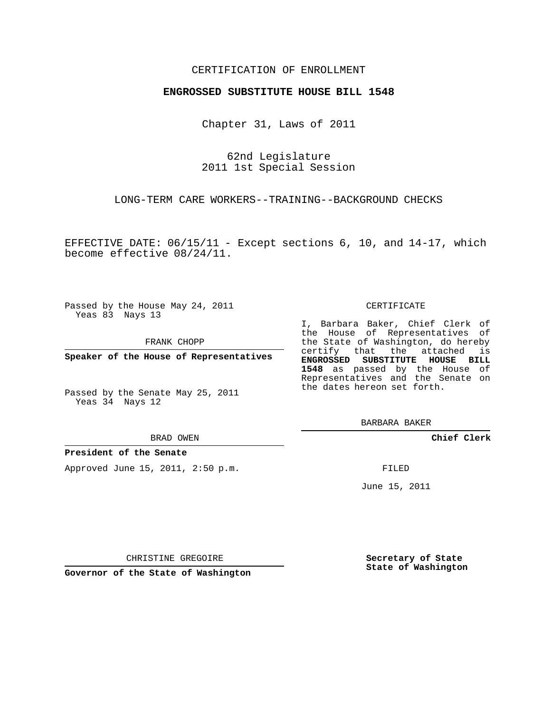## CERTIFICATION OF ENROLLMENT

### **ENGROSSED SUBSTITUTE HOUSE BILL 1548**

Chapter 31, Laws of 2011

62nd Legislature 2011 1st Special Session

LONG-TERM CARE WORKERS--TRAINING--BACKGROUND CHECKS

EFFECTIVE DATE: 06/15/11 - Except sections 6, 10, and 14-17, which become effective 08/24/11.

Passed by the House May 24, 2011 Yeas 83 Nays 13

FRANK CHOPP

**Speaker of the House of Representatives**

Passed by the Senate May 25, 2011 Yeas 34 Nays 12

#### BRAD OWEN

### **President of the Senate**

Approved June 15, 2011, 2:50 p.m.

#### CERTIFICATE

I, Barbara Baker, Chief Clerk of the House of Representatives of the State of Washington, do hereby certify that the attached is **ENGROSSED SUBSTITUTE HOUSE BILL 1548** as passed by the House of Representatives and the Senate on the dates hereon set forth.

**Chief Clerk**

FILED

June 15, 2011

**Secretary of State State of Washington**

CHRISTINE GREGOIRE

**Governor of the State of Washington**

BARBARA BAKER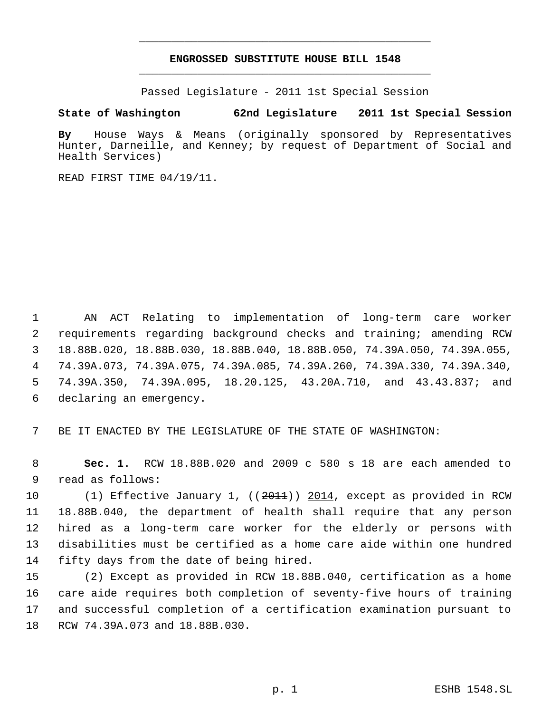# **ENGROSSED SUBSTITUTE HOUSE BILL 1548** \_\_\_\_\_\_\_\_\_\_\_\_\_\_\_\_\_\_\_\_\_\_\_\_\_\_\_\_\_\_\_\_\_\_\_\_\_\_\_\_\_\_\_\_\_

\_\_\_\_\_\_\_\_\_\_\_\_\_\_\_\_\_\_\_\_\_\_\_\_\_\_\_\_\_\_\_\_\_\_\_\_\_\_\_\_\_\_\_\_\_

Passed Legislature - 2011 1st Special Session

# **State of Washington 62nd Legislature 2011 1st Special Session**

**By** House Ways & Means (originally sponsored by Representatives Hunter, Darneille, and Kenney; by request of Department of Social and Health Services)

READ FIRST TIME 04/19/11.

 AN ACT Relating to implementation of long-term care worker requirements regarding background checks and training; amending RCW 18.88B.020, 18.88B.030, 18.88B.040, 18.88B.050, 74.39A.050, 74.39A.055, 74.39A.073, 74.39A.075, 74.39A.085, 74.39A.260, 74.39A.330, 74.39A.340, 74.39A.350, 74.39A.095, 18.20.125, 43.20A.710, and 43.43.837; and declaring an emergency.

BE IT ENACTED BY THE LEGISLATURE OF THE STATE OF WASHINGTON:

 **Sec. 1.** RCW 18.88B.020 and 2009 c 580 s 18 are each amended to read as follows:

10 (1) Effective January 1, ((2011)) 2014, except as provided in RCW 18.88B.040, the department of health shall require that any person hired as a long-term care worker for the elderly or persons with disabilities must be certified as a home care aide within one hundred fifty days from the date of being hired.

 (2) Except as provided in RCW 18.88B.040, certification as a home care aide requires both completion of seventy-five hours of training and successful completion of a certification examination pursuant to RCW 74.39A.073 and 18.88B.030.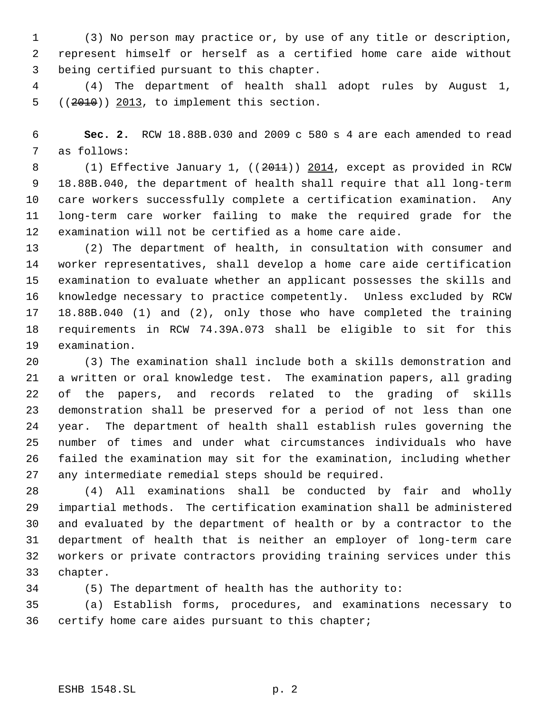(3) No person may practice or, by use of any title or description, represent himself or herself as a certified home care aide without being certified pursuant to this chapter.

 (4) The department of health shall adopt rules by August 1,  $((2010))$   $2013$ , to implement this section.

 **Sec. 2.** RCW 18.88B.030 and 2009 c 580 s 4 are each amended to read as follows:

8 (1) Effective January 1, ((2011)) 2014, except as provided in RCW 18.88B.040, the department of health shall require that all long-term care workers successfully complete a certification examination. Any long-term care worker failing to make the required grade for the examination will not be certified as a home care aide.

 (2) The department of health, in consultation with consumer and worker representatives, shall develop a home care aide certification examination to evaluate whether an applicant possesses the skills and knowledge necessary to practice competently. Unless excluded by RCW 18.88B.040 (1) and (2), only those who have completed the training requirements in RCW 74.39A.073 shall be eligible to sit for this examination.

 (3) The examination shall include both a skills demonstration and a written or oral knowledge test. The examination papers, all grading of the papers, and records related to the grading of skills demonstration shall be preserved for a period of not less than one year. The department of health shall establish rules governing the number of times and under what circumstances individuals who have failed the examination may sit for the examination, including whether any intermediate remedial steps should be required.

 (4) All examinations shall be conducted by fair and wholly impartial methods. The certification examination shall be administered and evaluated by the department of health or by a contractor to the department of health that is neither an employer of long-term care workers or private contractors providing training services under this chapter.

(5) The department of health has the authority to:

 (a) Establish forms, procedures, and examinations necessary to certify home care aides pursuant to this chapter;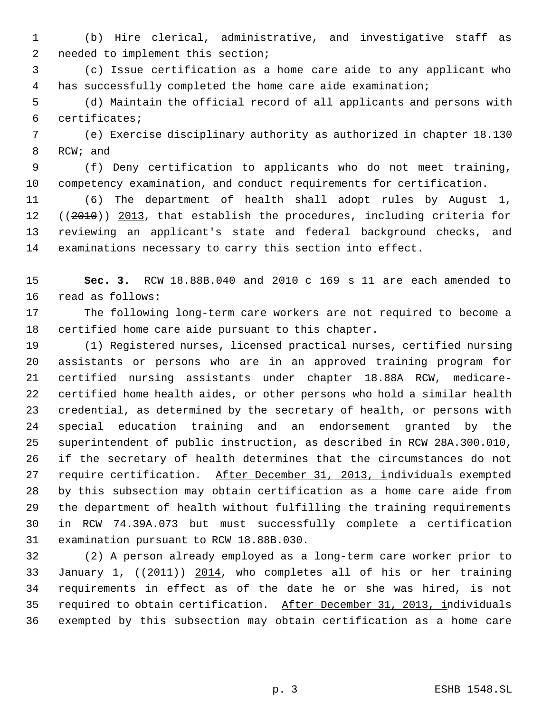(b) Hire clerical, administrative, and investigative staff as needed to implement this section;

 (c) Issue certification as a home care aide to any applicant who has successfully completed the home care aide examination;

 (d) Maintain the official record of all applicants and persons with certificates;

 (e) Exercise disciplinary authority as authorized in chapter 18.130 RCW; and

 (f) Deny certification to applicants who do not meet training, competency examination, and conduct requirements for certification.

 (6) The department of health shall adopt rules by August 1, 12 ((2010)) 2013, that establish the procedures, including criteria for reviewing an applicant's state and federal background checks, and examinations necessary to carry this section into effect.

 **Sec. 3.** RCW 18.88B.040 and 2010 c 169 s 11 are each amended to read as follows:

 The following long-term care workers are not required to become a certified home care aide pursuant to this chapter.

 (1) Registered nurses, licensed practical nurses, certified nursing assistants or persons who are in an approved training program for certified nursing assistants under chapter 18.88A RCW, medicare- certified home health aides, or other persons who hold a similar health credential, as determined by the secretary of health, or persons with special education training and an endorsement granted by the superintendent of public instruction, as described in RCW 28A.300.010, if the secretary of health determines that the circumstances do not 27 require certification. After December 31, 2013, individuals exempted by this subsection may obtain certification as a home care aide from the department of health without fulfilling the training requirements in RCW 74.39A.073 but must successfully complete a certification examination pursuant to RCW 18.88B.030.

 (2) A person already employed as a long-term care worker prior to January 1, ((2011)) 2014, who completes all of his or her training requirements in effect as of the date he or she was hired, is not required to obtain certification. After December 31, 2013, individuals exempted by this subsection may obtain certification as a home care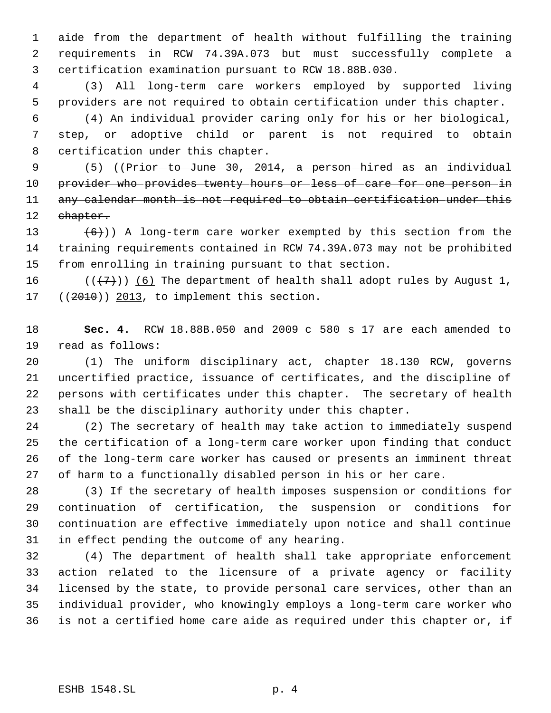aide from the department of health without fulfilling the training requirements in RCW 74.39A.073 but must successfully complete a certification examination pursuant to RCW 18.88B.030.

 (3) All long-term care workers employed by supported living providers are not required to obtain certification under this chapter.

 (4) An individual provider caring only for his or her biological, step, or adoptive child or parent is not required to obtain certification under this chapter.

9 (5) ((Prior to June 30, 2014, a person hired as an individual 10 provider who provides twenty hours or less of care for one person in 11 any calendar month is not required to obtain certification under this 12 chapter.

13  $(6)$ )) A long-term care worker exempted by this section from the training requirements contained in RCW 74.39A.073 may not be prohibited from enrolling in training pursuant to that section.

16 ( $(\langle 7 \rangle)$ ) (6) The department of health shall adopt rules by August 1, (( $2010$ ))  $2013$ , to implement this section.

 **Sec. 4.** RCW 18.88B.050 and 2009 c 580 s 17 are each amended to read as follows:

 (1) The uniform disciplinary act, chapter 18.130 RCW, governs uncertified practice, issuance of certificates, and the discipline of persons with certificates under this chapter. The secretary of health shall be the disciplinary authority under this chapter.

 (2) The secretary of health may take action to immediately suspend the certification of a long-term care worker upon finding that conduct of the long-term care worker has caused or presents an imminent threat of harm to a functionally disabled person in his or her care.

 (3) If the secretary of health imposes suspension or conditions for continuation of certification, the suspension or conditions for continuation are effective immediately upon notice and shall continue in effect pending the outcome of any hearing.

 (4) The department of health shall take appropriate enforcement action related to the licensure of a private agency or facility licensed by the state, to provide personal care services, other than an individual provider, who knowingly employs a long-term care worker who is not a certified home care aide as required under this chapter or, if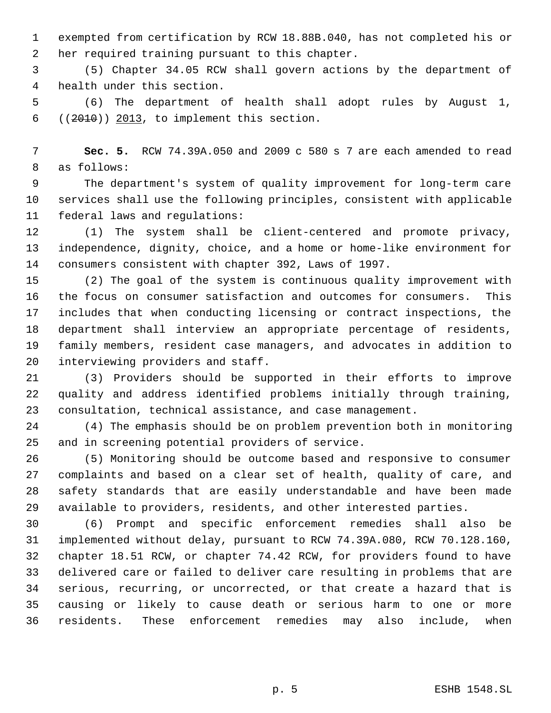exempted from certification by RCW 18.88B.040, has not completed his or her required training pursuant to this chapter.

 (5) Chapter 34.05 RCW shall govern actions by the department of health under this section.

 (6) The department of health shall adopt rules by August 1,  $((2010))$   $2013$ , to implement this section.

 **Sec. 5.** RCW 74.39A.050 and 2009 c 580 s 7 are each amended to read as follows:

 The department's system of quality improvement for long-term care services shall use the following principles, consistent with applicable federal laws and regulations:

 (1) The system shall be client-centered and promote privacy, independence, dignity, choice, and a home or home-like environment for consumers consistent with chapter 392, Laws of 1997.

 (2) The goal of the system is continuous quality improvement with the focus on consumer satisfaction and outcomes for consumers. This includes that when conducting licensing or contract inspections, the department shall interview an appropriate percentage of residents, family members, resident case managers, and advocates in addition to interviewing providers and staff.

 (3) Providers should be supported in their efforts to improve quality and address identified problems initially through training, consultation, technical assistance, and case management.

 (4) The emphasis should be on problem prevention both in monitoring and in screening potential providers of service.

 (5) Monitoring should be outcome based and responsive to consumer complaints and based on a clear set of health, quality of care, and safety standards that are easily understandable and have been made available to providers, residents, and other interested parties.

 (6) Prompt and specific enforcement remedies shall also be implemented without delay, pursuant to RCW 74.39A.080, RCW 70.128.160, chapter 18.51 RCW, or chapter 74.42 RCW, for providers found to have delivered care or failed to deliver care resulting in problems that are serious, recurring, or uncorrected, or that create a hazard that is causing or likely to cause death or serious harm to one or more residents. These enforcement remedies may also include, when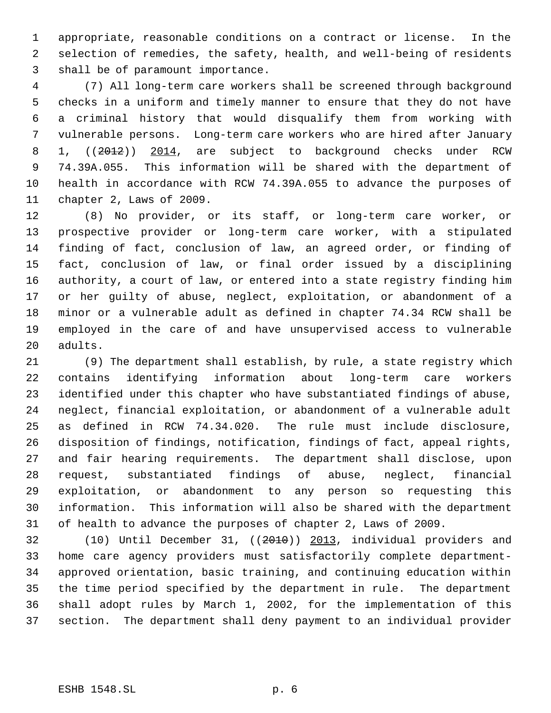appropriate, reasonable conditions on a contract or license. In the selection of remedies, the safety, health, and well-being of residents shall be of paramount importance.

 (7) All long-term care workers shall be screened through background checks in a uniform and timely manner to ensure that they do not have a criminal history that would disqualify them from working with vulnerable persons. Long-term care workers who are hired after January 8 1, ((2012)) 2014, are subject to background checks under RCW 74.39A.055. This information will be shared with the department of health in accordance with RCW 74.39A.055 to advance the purposes of chapter 2, Laws of 2009.

 (8) No provider, or its staff, or long-term care worker, or prospective provider or long-term care worker, with a stipulated finding of fact, conclusion of law, an agreed order, or finding of fact, conclusion of law, or final order issued by a disciplining authority, a court of law, or entered into a state registry finding him or her guilty of abuse, neglect, exploitation, or abandonment of a minor or a vulnerable adult as defined in chapter 74.34 RCW shall be employed in the care of and have unsupervised access to vulnerable adults.

 (9) The department shall establish, by rule, a state registry which contains identifying information about long-term care workers identified under this chapter who have substantiated findings of abuse, neglect, financial exploitation, or abandonment of a vulnerable adult as defined in RCW 74.34.020. The rule must include disclosure, disposition of findings, notification, findings of fact, appeal rights, and fair hearing requirements. The department shall disclose, upon request, substantiated findings of abuse, neglect, financial exploitation, or abandonment to any person so requesting this information. This information will also be shared with the department of health to advance the purposes of chapter 2, Laws of 2009.

 (10) Until December 31, ((2010)) 2013, individual providers and home care agency providers must satisfactorily complete department- approved orientation, basic training, and continuing education within the time period specified by the department in rule. The department shall adopt rules by March 1, 2002, for the implementation of this section. The department shall deny payment to an individual provider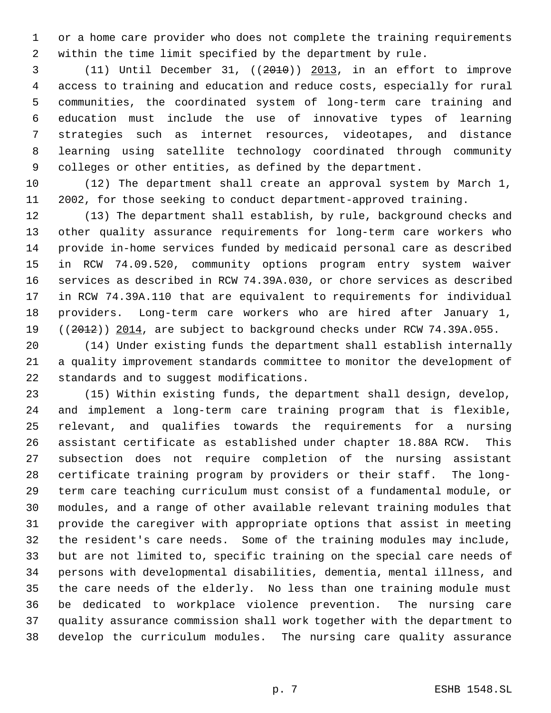or a home care provider who does not complete the training requirements within the time limit specified by the department by rule.

 (11) Until December 31, ((2010)) 2013, in an effort to improve access to training and education and reduce costs, especially for rural communities, the coordinated system of long-term care training and education must include the use of innovative types of learning strategies such as internet resources, videotapes, and distance learning using satellite technology coordinated through community colleges or other entities, as defined by the department.

 (12) The department shall create an approval system by March 1, 2002, for those seeking to conduct department-approved training.

 (13) The department shall establish, by rule, background checks and other quality assurance requirements for long-term care workers who provide in-home services funded by medicaid personal care as described in RCW 74.09.520, community options program entry system waiver services as described in RCW 74.39A.030, or chore services as described in RCW 74.39A.110 that are equivalent to requirements for individual providers. Long-term care workers who are hired after January 1, 19 ((2012)) 2014, are subject to background checks under RCW 74.39A.055.

 (14) Under existing funds the department shall establish internally a quality improvement standards committee to monitor the development of standards and to suggest modifications.

 (15) Within existing funds, the department shall design, develop, and implement a long-term care training program that is flexible, relevant, and qualifies towards the requirements for a nursing assistant certificate as established under chapter 18.88A RCW. This subsection does not require completion of the nursing assistant certificate training program by providers or their staff. The long- term care teaching curriculum must consist of a fundamental module, or modules, and a range of other available relevant training modules that provide the caregiver with appropriate options that assist in meeting the resident's care needs. Some of the training modules may include, but are not limited to, specific training on the special care needs of persons with developmental disabilities, dementia, mental illness, and the care needs of the elderly. No less than one training module must be dedicated to workplace violence prevention. The nursing care quality assurance commission shall work together with the department to develop the curriculum modules. The nursing care quality assurance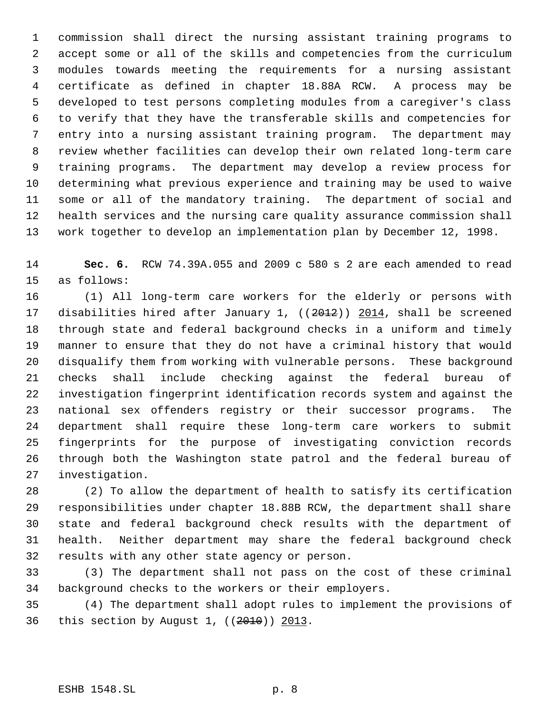commission shall direct the nursing assistant training programs to accept some or all of the skills and competencies from the curriculum modules towards meeting the requirements for a nursing assistant certificate as defined in chapter 18.88A RCW. A process may be developed to test persons completing modules from a caregiver's class to verify that they have the transferable skills and competencies for entry into a nursing assistant training program. The department may review whether facilities can develop their own related long-term care training programs. The department may develop a review process for determining what previous experience and training may be used to waive some or all of the mandatory training. The department of social and health services and the nursing care quality assurance commission shall work together to develop an implementation plan by December 12, 1998.

 **Sec. 6.** RCW 74.39A.055 and 2009 c 580 s 2 are each amended to read as follows:

 (1) All long-term care workers for the elderly or persons with 17 disabilities hired after January 1, ((2012)) 2014, shall be screened through state and federal background checks in a uniform and timely manner to ensure that they do not have a criminal history that would disqualify them from working with vulnerable persons. These background checks shall include checking against the federal bureau of investigation fingerprint identification records system and against the national sex offenders registry or their successor programs. The department shall require these long-term care workers to submit fingerprints for the purpose of investigating conviction records through both the Washington state patrol and the federal bureau of investigation.

 (2) To allow the department of health to satisfy its certification responsibilities under chapter 18.88B RCW, the department shall share state and federal background check results with the department of health. Neither department may share the federal background check results with any other state agency or person.

 (3) The department shall not pass on the cost of these criminal background checks to the workers or their employers.

 (4) The department shall adopt rules to implement the provisions of this section by August 1, ((2010)) 2013.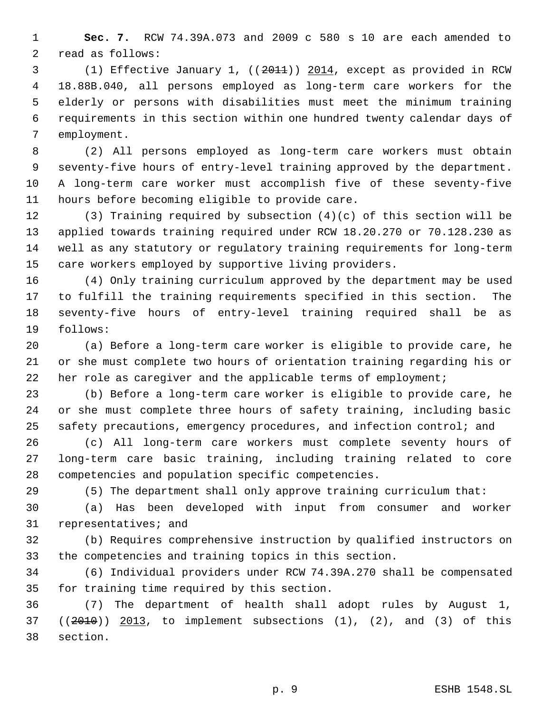**Sec. 7.** RCW 74.39A.073 and 2009 c 580 s 10 are each amended to read as follows:

 (1) Effective January 1, ((2011)) 2014, except as provided in RCW 18.88B.040, all persons employed as long-term care workers for the elderly or persons with disabilities must meet the minimum training requirements in this section within one hundred twenty calendar days of employment.

 (2) All persons employed as long-term care workers must obtain seventy-five hours of entry-level training approved by the department. A long-term care worker must accomplish five of these seventy-five hours before becoming eligible to provide care.

 (3) Training required by subsection (4)(c) of this section will be applied towards training required under RCW 18.20.270 or 70.128.230 as well as any statutory or regulatory training requirements for long-term care workers employed by supportive living providers.

 (4) Only training curriculum approved by the department may be used to fulfill the training requirements specified in this section. The seventy-five hours of entry-level training required shall be as follows:

 (a) Before a long-term care worker is eligible to provide care, he or she must complete two hours of orientation training regarding his or her role as caregiver and the applicable terms of employment;

 (b) Before a long-term care worker is eligible to provide care, he or she must complete three hours of safety training, including basic safety precautions, emergency procedures, and infection control; and

 (c) All long-term care workers must complete seventy hours of long-term care basic training, including training related to core competencies and population specific competencies.

(5) The department shall only approve training curriculum that:

 (a) Has been developed with input from consumer and worker representatives; and

 (b) Requires comprehensive instruction by qualified instructors on the competencies and training topics in this section.

 (6) Individual providers under RCW 74.39A.270 shall be compensated for training time required by this section.

 (7) The department of health shall adopt rules by August 1,  $((2010))$   $2013$ , to implement subsections  $(1)$ ,  $(2)$ , and  $(3)$  of this section.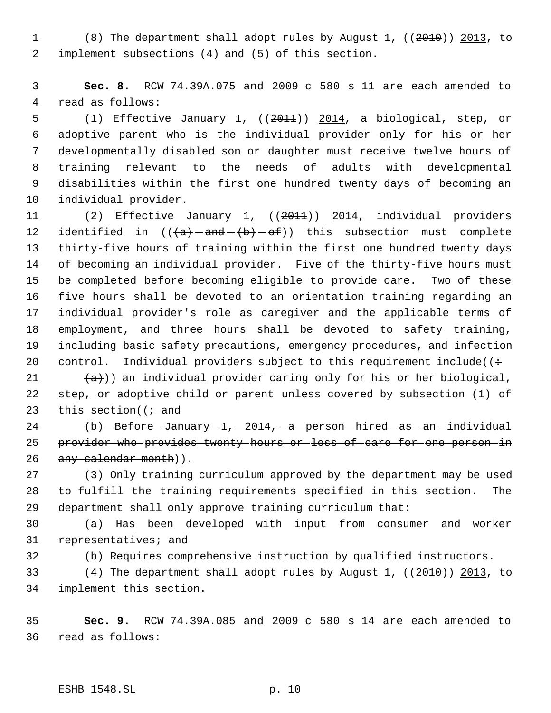(8) The department shall adopt rules by August 1, ((2010)) 2013, to implement subsections (4) and (5) of this section.

 **Sec. 8.** RCW 74.39A.075 and 2009 c 580 s 11 are each amended to read as follows:

5 (1) Effective January 1, ((2011)) 2014, a biological, step, or adoptive parent who is the individual provider only for his or her developmentally disabled son or daughter must receive twelve hours of training relevant to the needs of adults with developmental disabilities within the first one hundred twenty days of becoming an individual provider.

 (2) Effective January 1, ((2011)) 2014, individual providers 12 identified in  $((a + b) - b)$  this subsection must complete thirty-five hours of training within the first one hundred twenty days of becoming an individual provider. Five of the thirty-five hours must be completed before becoming eligible to provide care. Two of these five hours shall be devoted to an orientation training regarding an individual provider's role as caregiver and the applicable terms of employment, and three hours shall be devoted to safety training, including basic safety precautions, emergency procedures, and infection 20 control. Individual providers subject to this requirement include( $(·$ 

21  $(a)$ )) an individual provider caring only for his or her biological, step, or adoptive child or parent unless covered by subsection (1) of 23 this section( $\left(i \right)$  and

24  $\langle b \rangle$  -Before -January -1, -2014, -a -person -hired -as -an -individual 25 provider who provides twenty hours or less of care for one person in 26 any calendar month)).

 (3) Only training curriculum approved by the department may be used to fulfill the training requirements specified in this section. The department shall only approve training curriculum that:

 (a) Has been developed with input from consumer and worker representatives; and

(b) Requires comprehensive instruction by qualified instructors.

 (4) The department shall adopt rules by August 1, ((2010)) 2013, to implement this section.

 **Sec. 9.** RCW 74.39A.085 and 2009 c 580 s 14 are each amended to read as follows: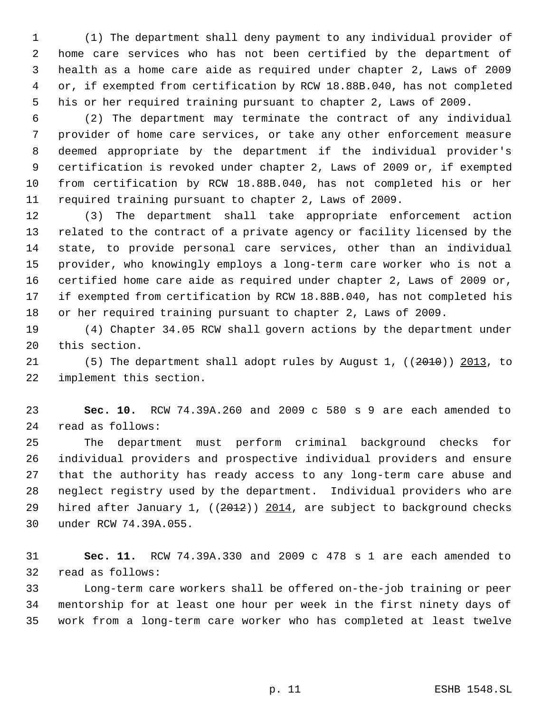(1) The department shall deny payment to any individual provider of home care services who has not been certified by the department of health as a home care aide as required under chapter 2, Laws of 2009 or, if exempted from certification by RCW 18.88B.040, has not completed his or her required training pursuant to chapter 2, Laws of 2009.

 (2) The department may terminate the contract of any individual provider of home care services, or take any other enforcement measure deemed appropriate by the department if the individual provider's certification is revoked under chapter 2, Laws of 2009 or, if exempted from certification by RCW 18.88B.040, has not completed his or her required training pursuant to chapter 2, Laws of 2009.

 (3) The department shall take appropriate enforcement action related to the contract of a private agency or facility licensed by the state, to provide personal care services, other than an individual provider, who knowingly employs a long-term care worker who is not a certified home care aide as required under chapter 2, Laws of 2009 or, if exempted from certification by RCW 18.88B.040, has not completed his or her required training pursuant to chapter 2, Laws of 2009.

 (4) Chapter 34.05 RCW shall govern actions by the department under this section.

 (5) The department shall adopt rules by August 1, ((2010)) 2013, to implement this section.

 **Sec. 10.** RCW 74.39A.260 and 2009 c 580 s 9 are each amended to read as follows:

 The department must perform criminal background checks for individual providers and prospective individual providers and ensure that the authority has ready access to any long-term care abuse and neglect registry used by the department. Individual providers who are 29 hired after January 1, ((2012)) 2014, are subject to background checks under RCW 74.39A.055.

 **Sec. 11.** RCW 74.39A.330 and 2009 c 478 s 1 are each amended to read as follows:

 Long-term care workers shall be offered on-the-job training or peer mentorship for at least one hour per week in the first ninety days of work from a long-term care worker who has completed at least twelve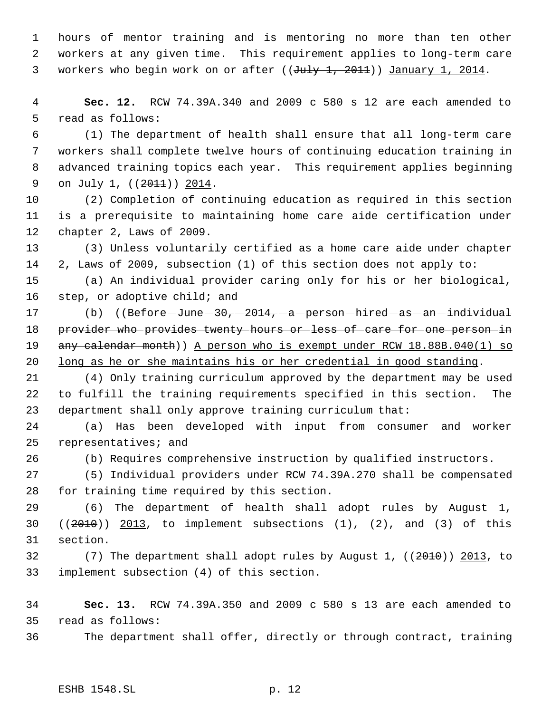hours of mentor training and is mentoring no more than ten other workers at any given time. This requirement applies to long-term care 3 workers who begin work on or after ((July 1, 2011)) January 1, 2014.

 **Sec. 12.** RCW 74.39A.340 and 2009 c 580 s 12 are each amended to read as follows:

 (1) The department of health shall ensure that all long-term care workers shall complete twelve hours of continuing education training in advanced training topics each year. This requirement applies beginning 9 on July 1, ((2011)) 2014.

 (2) Completion of continuing education as required in this section is a prerequisite to maintaining home care aide certification under chapter 2, Laws of 2009.

 (3) Unless voluntarily certified as a home care aide under chapter 2, Laws of 2009, subsection (1) of this section does not apply to:

 (a) An individual provider caring only for his or her biological, step, or adoptive child; and

17 (b) ((Before June - 30, -2014, -a -person -hired -as -an -individual 18 provider who provides twenty hours or less of care for one person in 19 any calendar month)) A person who is exempt under RCW 18.88B.040(1) so long as he or she maintains his or her credential in good standing.

 (4) Only training curriculum approved by the department may be used to fulfill the training requirements specified in this section. The department shall only approve training curriculum that:

 (a) Has been developed with input from consumer and worker representatives; and

(b) Requires comprehensive instruction by qualified instructors.

 (5) Individual providers under RCW 74.39A.270 shall be compensated for training time required by this section.

 (6) The department of health shall adopt rules by August 1, 30  $((2010))$   $2013$ , to implement subsections  $(1)$ ,  $(2)$ , and  $(3)$  of this section.

 (7) The department shall adopt rules by August 1, ((2010)) 2013, to implement subsection (4) of this section.

 **Sec. 13.** RCW 74.39A.350 and 2009 c 580 s 13 are each amended to read as follows:

The department shall offer, directly or through contract, training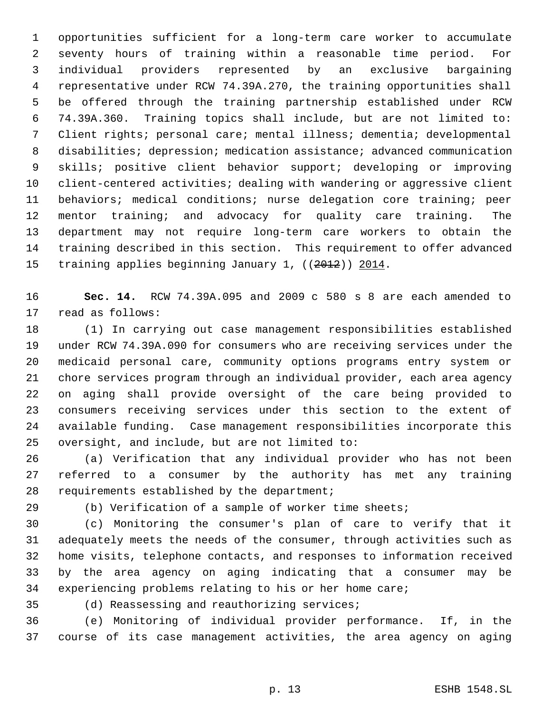opportunities sufficient for a long-term care worker to accumulate seventy hours of training within a reasonable time period. For individual providers represented by an exclusive bargaining representative under RCW 74.39A.270, the training opportunities shall be offered through the training partnership established under RCW 74.39A.360. Training topics shall include, but are not limited to: Client rights; personal care; mental illness; dementia; developmental disabilities; depression; medication assistance; advanced communication skills; positive client behavior support; developing or improving client-centered activities; dealing with wandering or aggressive client behaviors; medical conditions; nurse delegation core training; peer mentor training; and advocacy for quality care training. The department may not require long-term care workers to obtain the training described in this section. This requirement to offer advanced 15 training applies beginning January 1, ((2012)) 2014.

 **Sec. 14.** RCW 74.39A.095 and 2009 c 580 s 8 are each amended to read as follows:

 (1) In carrying out case management responsibilities established under RCW 74.39A.090 for consumers who are receiving services under the medicaid personal care, community options programs entry system or chore services program through an individual provider, each area agency on aging shall provide oversight of the care being provided to consumers receiving services under this section to the extent of available funding. Case management responsibilities incorporate this oversight, and include, but are not limited to:

 (a) Verification that any individual provider who has not been referred to a consumer by the authority has met any training requirements established by the department;

(b) Verification of a sample of worker time sheets;

 (c) Monitoring the consumer's plan of care to verify that it adequately meets the needs of the consumer, through activities such as home visits, telephone contacts, and responses to information received by the area agency on aging indicating that a consumer may be experiencing problems relating to his or her home care;

(d) Reassessing and reauthorizing services;

 (e) Monitoring of individual provider performance. If, in the course of its case management activities, the area agency on aging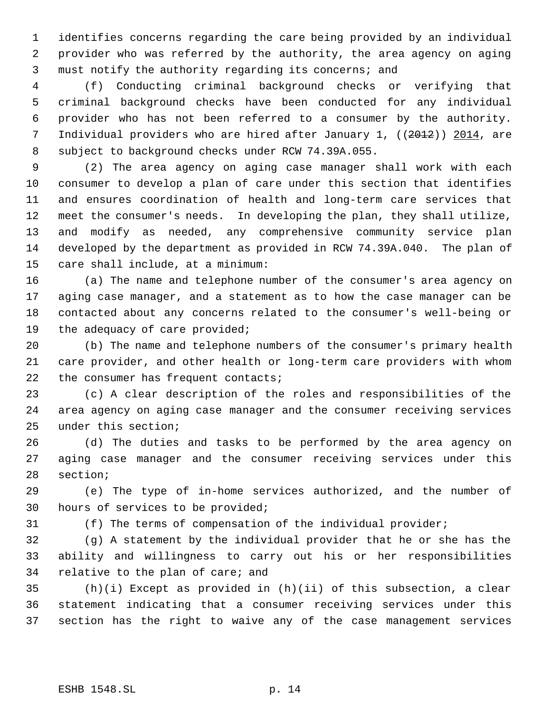identifies concerns regarding the care being provided by an individual provider who was referred by the authority, the area agency on aging must notify the authority regarding its concerns; and

 (f) Conducting criminal background checks or verifying that criminal background checks have been conducted for any individual provider who has not been referred to a consumer by the authority. 7 Individual providers who are hired after January 1, ((2012)) 2014, are subject to background checks under RCW 74.39A.055.

 (2) The area agency on aging case manager shall work with each consumer to develop a plan of care under this section that identifies and ensures coordination of health and long-term care services that meet the consumer's needs. In developing the plan, they shall utilize, and modify as needed, any comprehensive community service plan developed by the department as provided in RCW 74.39A.040. The plan of care shall include, at a minimum:

 (a) The name and telephone number of the consumer's area agency on aging case manager, and a statement as to how the case manager can be contacted about any concerns related to the consumer's well-being or the adequacy of care provided;

 (b) The name and telephone numbers of the consumer's primary health care provider, and other health or long-term care providers with whom 22 the consumer has frequent contacts;

 (c) A clear description of the roles and responsibilities of the area agency on aging case manager and the consumer receiving services under this section;

 (d) The duties and tasks to be performed by the area agency on aging case manager and the consumer receiving services under this section;

 (e) The type of in-home services authorized, and the number of hours of services to be provided;

(f) The terms of compensation of the individual provider;

 (g) A statement by the individual provider that he or she has the ability and willingness to carry out his or her responsibilities relative to the plan of care; and

 (h)(i) Except as provided in (h)(ii) of this subsection, a clear statement indicating that a consumer receiving services under this section has the right to waive any of the case management services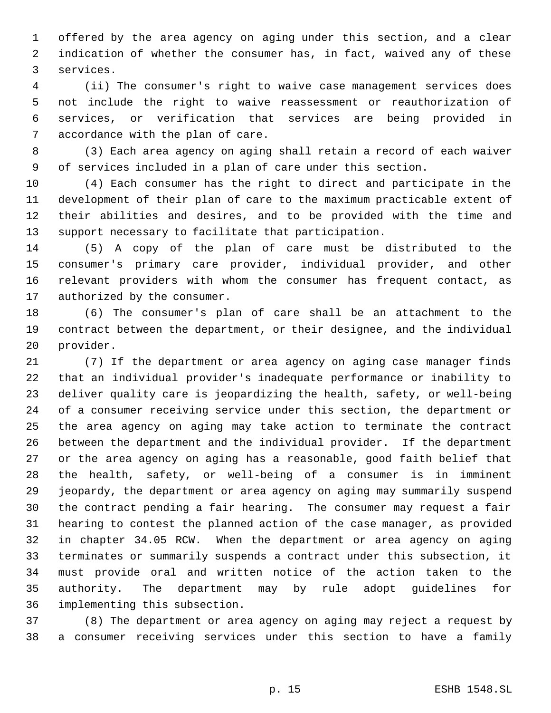offered by the area agency on aging under this section, and a clear indication of whether the consumer has, in fact, waived any of these services.

 (ii) The consumer's right to waive case management services does not include the right to waive reassessment or reauthorization of services, or verification that services are being provided in accordance with the plan of care.

 (3) Each area agency on aging shall retain a record of each waiver of services included in a plan of care under this section.

 (4) Each consumer has the right to direct and participate in the development of their plan of care to the maximum practicable extent of their abilities and desires, and to be provided with the time and support necessary to facilitate that participation.

 (5) A copy of the plan of care must be distributed to the consumer's primary care provider, individual provider, and other relevant providers with whom the consumer has frequent contact, as authorized by the consumer.

 (6) The consumer's plan of care shall be an attachment to the contract between the department, or their designee, and the individual provider.

 (7) If the department or area agency on aging case manager finds that an individual provider's inadequate performance or inability to deliver quality care is jeopardizing the health, safety, or well-being of a consumer receiving service under this section, the department or the area agency on aging may take action to terminate the contract between the department and the individual provider. If the department or the area agency on aging has a reasonable, good faith belief that the health, safety, or well-being of a consumer is in imminent jeopardy, the department or area agency on aging may summarily suspend the contract pending a fair hearing. The consumer may request a fair hearing to contest the planned action of the case manager, as provided in chapter 34.05 RCW. When the department or area agency on aging terminates or summarily suspends a contract under this subsection, it must provide oral and written notice of the action taken to the authority. The department may by rule adopt guidelines for implementing this subsection.

 (8) The department or area agency on aging may reject a request by a consumer receiving services under this section to have a family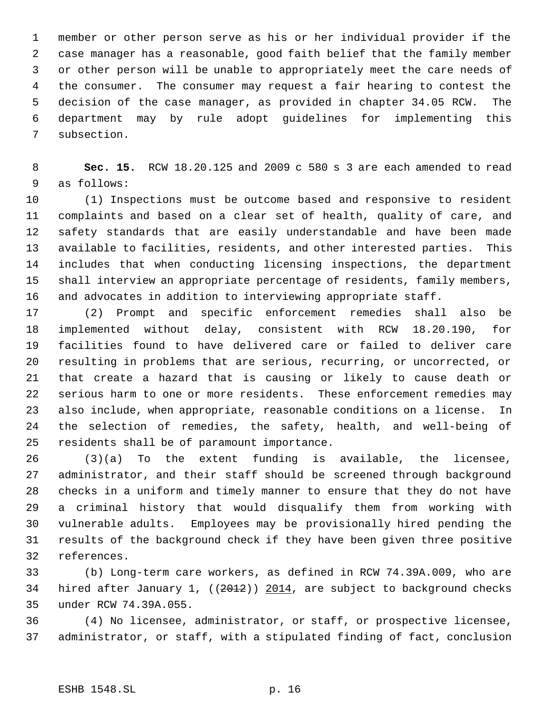member or other person serve as his or her individual provider if the case manager has a reasonable, good faith belief that the family member or other person will be unable to appropriately meet the care needs of the consumer. The consumer may request a fair hearing to contest the decision of the case manager, as provided in chapter 34.05 RCW. The department may by rule adopt guidelines for implementing this subsection.

 **Sec. 15.** RCW 18.20.125 and 2009 c 580 s 3 are each amended to read as follows:

 (1) Inspections must be outcome based and responsive to resident complaints and based on a clear set of health, quality of care, and safety standards that are easily understandable and have been made available to facilities, residents, and other interested parties. This includes that when conducting licensing inspections, the department shall interview an appropriate percentage of residents, family members, and advocates in addition to interviewing appropriate staff.

 (2) Prompt and specific enforcement remedies shall also be implemented without delay, consistent with RCW 18.20.190, for facilities found to have delivered care or failed to deliver care resulting in problems that are serious, recurring, or uncorrected, or that create a hazard that is causing or likely to cause death or serious harm to one or more residents. These enforcement remedies may also include, when appropriate, reasonable conditions on a license. In the selection of remedies, the safety, health, and well-being of residents shall be of paramount importance.

 (3)(a) To the extent funding is available, the licensee, administrator, and their staff should be screened through background checks in a uniform and timely manner to ensure that they do not have a criminal history that would disqualify them from working with vulnerable adults. Employees may be provisionally hired pending the results of the background check if they have been given three positive references.

 (b) Long-term care workers, as defined in RCW 74.39A.009, who are 34 hired after January 1, ((2012)) 2014, are subject to background checks under RCW 74.39A.055.

 (4) No licensee, administrator, or staff, or prospective licensee, administrator, or staff, with a stipulated finding of fact, conclusion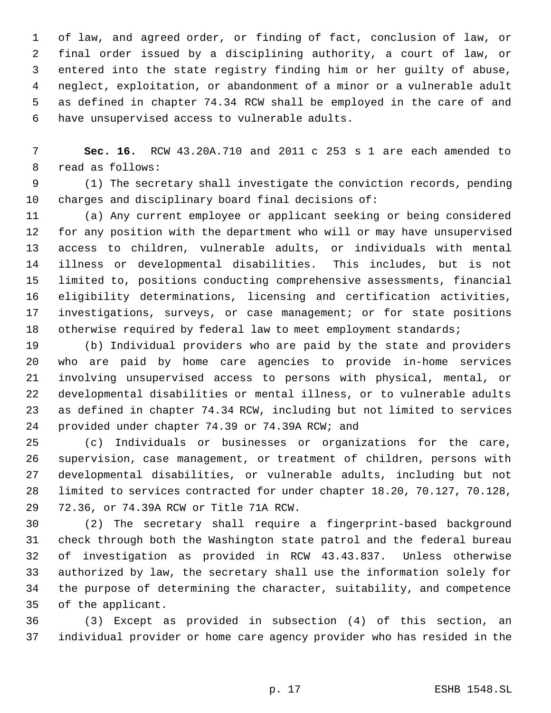of law, and agreed order, or finding of fact, conclusion of law, or final order issued by a disciplining authority, a court of law, or entered into the state registry finding him or her guilty of abuse, neglect, exploitation, or abandonment of a minor or a vulnerable adult as defined in chapter 74.34 RCW shall be employed in the care of and have unsupervised access to vulnerable adults.

 **Sec. 16.** RCW 43.20A.710 and 2011 c 253 s 1 are each amended to read as follows:

 (1) The secretary shall investigate the conviction records, pending charges and disciplinary board final decisions of:

 (a) Any current employee or applicant seeking or being considered for any position with the department who will or may have unsupervised access to children, vulnerable adults, or individuals with mental illness or developmental disabilities. This includes, but is not limited to, positions conducting comprehensive assessments, financial eligibility determinations, licensing and certification activities, investigations, surveys, or case management; or for state positions 18 otherwise required by federal law to meet employment standards;

 (b) Individual providers who are paid by the state and providers who are paid by home care agencies to provide in-home services involving unsupervised access to persons with physical, mental, or developmental disabilities or mental illness, or to vulnerable adults as defined in chapter 74.34 RCW, including but not limited to services provided under chapter 74.39 or 74.39A RCW; and

 (c) Individuals or businesses or organizations for the care, supervision, case management, or treatment of children, persons with developmental disabilities, or vulnerable adults, including but not limited to services contracted for under chapter 18.20, 70.127, 70.128, 72.36, or 74.39A RCW or Title 71A RCW.

 (2) The secretary shall require a fingerprint-based background check through both the Washington state patrol and the federal bureau of investigation as provided in RCW 43.43.837. Unless otherwise authorized by law, the secretary shall use the information solely for the purpose of determining the character, suitability, and competence of the applicant.

 (3) Except as provided in subsection (4) of this section, an individual provider or home care agency provider who has resided in the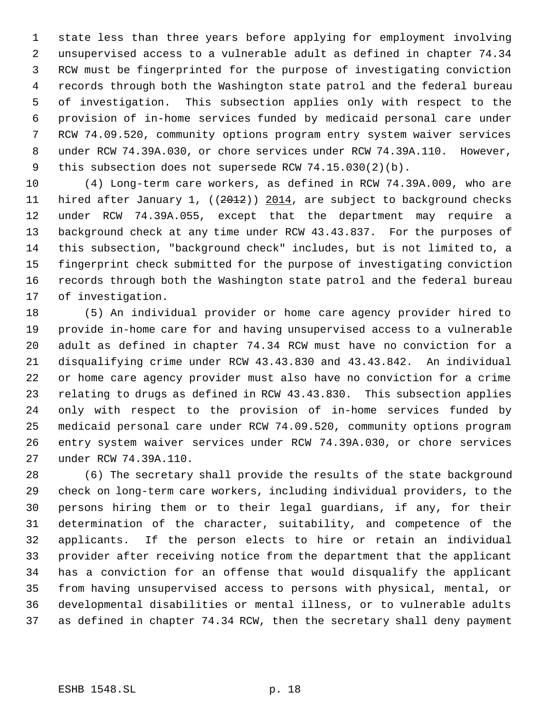state less than three years before applying for employment involving unsupervised access to a vulnerable adult as defined in chapter 74.34 RCW must be fingerprinted for the purpose of investigating conviction records through both the Washington state patrol and the federal bureau of investigation. This subsection applies only with respect to the provision of in-home services funded by medicaid personal care under RCW 74.09.520, community options program entry system waiver services under RCW 74.39A.030, or chore services under RCW 74.39A.110. However, this subsection does not supersede RCW 74.15.030(2)(b).

 (4) Long-term care workers, as defined in RCW 74.39A.009, who are 11 hired after January 1, ((2012)) 2014, are subject to background checks under RCW 74.39A.055, except that the department may require a background check at any time under RCW 43.43.837. For the purposes of this subsection, "background check" includes, but is not limited to, a fingerprint check submitted for the purpose of investigating conviction records through both the Washington state patrol and the federal bureau of investigation.

 (5) An individual provider or home care agency provider hired to provide in-home care for and having unsupervised access to a vulnerable adult as defined in chapter 74.34 RCW must have no conviction for a disqualifying crime under RCW 43.43.830 and 43.43.842. An individual or home care agency provider must also have no conviction for a crime relating to drugs as defined in RCW 43.43.830. This subsection applies only with respect to the provision of in-home services funded by medicaid personal care under RCW 74.09.520, community options program entry system waiver services under RCW 74.39A.030, or chore services under RCW 74.39A.110.

 (6) The secretary shall provide the results of the state background check on long-term care workers, including individual providers, to the persons hiring them or to their legal guardians, if any, for their determination of the character, suitability, and competence of the applicants. If the person elects to hire or retain an individual provider after receiving notice from the department that the applicant has a conviction for an offense that would disqualify the applicant from having unsupervised access to persons with physical, mental, or developmental disabilities or mental illness, or to vulnerable adults as defined in chapter 74.34 RCW, then the secretary shall deny payment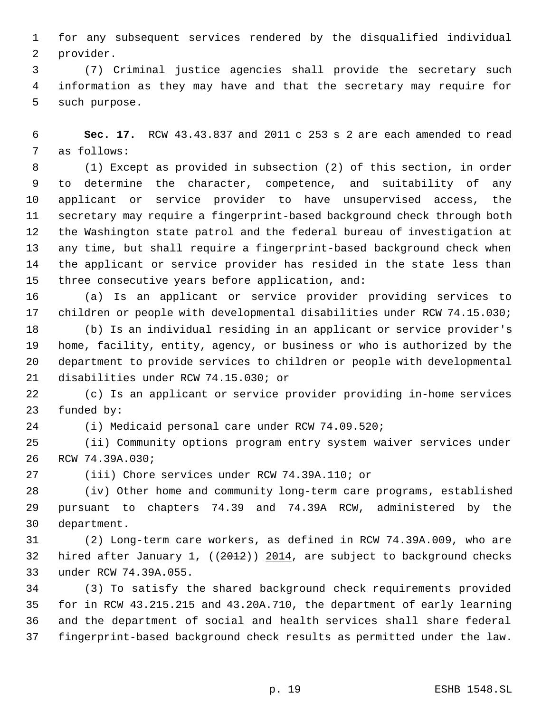for any subsequent services rendered by the disqualified individual provider.

 (7) Criminal justice agencies shall provide the secretary such information as they may have and that the secretary may require for such purpose.

 **Sec. 17.** RCW 43.43.837 and 2011 c 253 s 2 are each amended to read as follows:

 (1) Except as provided in subsection (2) of this section, in order to determine the character, competence, and suitability of any applicant or service provider to have unsupervised access, the secretary may require a fingerprint-based background check through both the Washington state patrol and the federal bureau of investigation at any time, but shall require a fingerprint-based background check when the applicant or service provider has resided in the state less than three consecutive years before application, and:

 (a) Is an applicant or service provider providing services to children or people with developmental disabilities under RCW 74.15.030;

 (b) Is an individual residing in an applicant or service provider's home, facility, entity, agency, or business or who is authorized by the department to provide services to children or people with developmental disabilities under RCW 74.15.030; or

 (c) Is an applicant or service provider providing in-home services funded by:

(i) Medicaid personal care under RCW 74.09.520;

 (ii) Community options program entry system waiver services under RCW 74.39A.030;

(iii) Chore services under RCW 74.39A.110; or

 (iv) Other home and community long-term care programs, established pursuant to chapters 74.39 and 74.39A RCW, administered by the department.

 (2) Long-term care workers, as defined in RCW 74.39A.009, who are 32 hired after January 1, ((2012)) 2014, are subject to background checks under RCW 74.39A.055.

 (3) To satisfy the shared background check requirements provided for in RCW 43.215.215 and 43.20A.710, the department of early learning and the department of social and health services shall share federal fingerprint-based background check results as permitted under the law.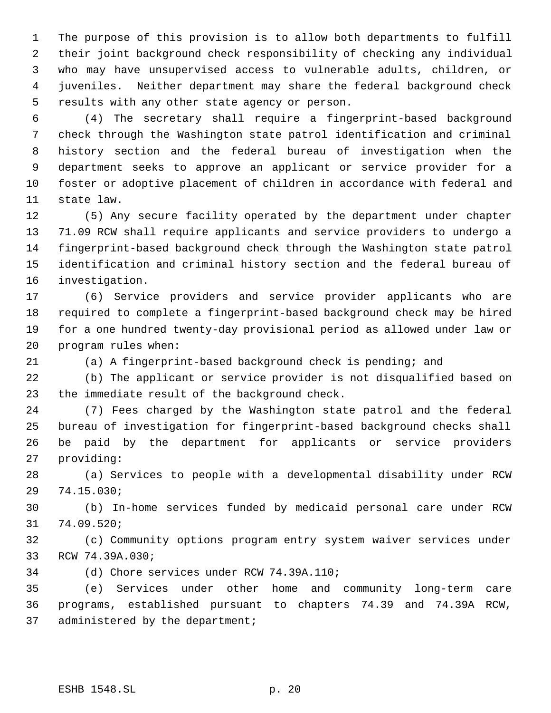The purpose of this provision is to allow both departments to fulfill their joint background check responsibility of checking any individual who may have unsupervised access to vulnerable adults, children, or juveniles. Neither department may share the federal background check results with any other state agency or person.

 (4) The secretary shall require a fingerprint-based background check through the Washington state patrol identification and criminal history section and the federal bureau of investigation when the department seeks to approve an applicant or service provider for a foster or adoptive placement of children in accordance with federal and state law.

 (5) Any secure facility operated by the department under chapter 71.09 RCW shall require applicants and service providers to undergo a fingerprint-based background check through the Washington state patrol identification and criminal history section and the federal bureau of investigation.

 (6) Service providers and service provider applicants who are required to complete a fingerprint-based background check may be hired for a one hundred twenty-day provisional period as allowed under law or program rules when:

(a) A fingerprint-based background check is pending; and

 (b) The applicant or service provider is not disqualified based on the immediate result of the background check.

 (7) Fees charged by the Washington state patrol and the federal bureau of investigation for fingerprint-based background checks shall be paid by the department for applicants or service providers providing:

 (a) Services to people with a developmental disability under RCW 74.15.030;

 (b) In-home services funded by medicaid personal care under RCW 74.09.520;

 (c) Community options program entry system waiver services under RCW 74.39A.030;

(d) Chore services under RCW 74.39A.110;

 (e) Services under other home and community long-term care programs, established pursuant to chapters 74.39 and 74.39A RCW, administered by the department;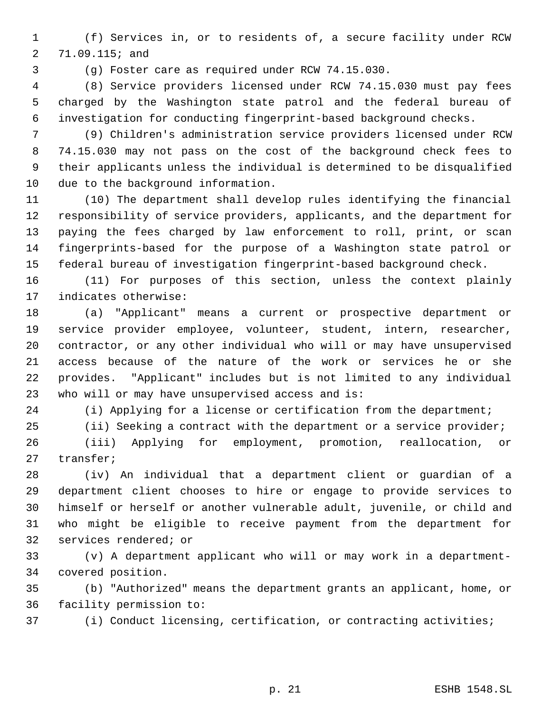(f) Services in, or to residents of, a secure facility under RCW 71.09.115; and

(g) Foster care as required under RCW 74.15.030.

 (8) Service providers licensed under RCW 74.15.030 must pay fees charged by the Washington state patrol and the federal bureau of investigation for conducting fingerprint-based background checks.

 (9) Children's administration service providers licensed under RCW 74.15.030 may not pass on the cost of the background check fees to their applicants unless the individual is determined to be disqualified due to the background information.

 (10) The department shall develop rules identifying the financial responsibility of service providers, applicants, and the department for paying the fees charged by law enforcement to roll, print, or scan fingerprints-based for the purpose of a Washington state patrol or federal bureau of investigation fingerprint-based background check.

 (11) For purposes of this section, unless the context plainly indicates otherwise:

 (a) "Applicant" means a current or prospective department or service provider employee, volunteer, student, intern, researcher, contractor, or any other individual who will or may have unsupervised access because of the nature of the work or services he or she provides. "Applicant" includes but is not limited to any individual who will or may have unsupervised access and is:

(i) Applying for a license or certification from the department;

(ii) Seeking a contract with the department or a service provider;

 (iii) Applying for employment, promotion, reallocation, or transfer;

 (iv) An individual that a department client or guardian of a department client chooses to hire or engage to provide services to himself or herself or another vulnerable adult, juvenile, or child and who might be eligible to receive payment from the department for services rendered; or

 (v) A department applicant who will or may work in a department-covered position.

 (b) "Authorized" means the department grants an applicant, home, or facility permission to:

(i) Conduct licensing, certification, or contracting activities;